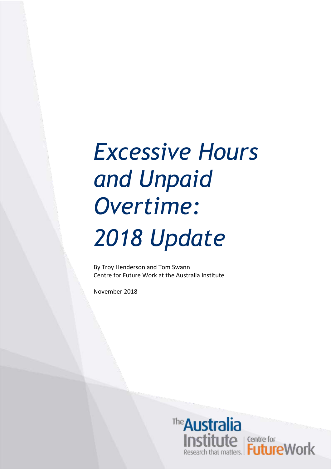## *Excessive Hours and Unpaid Overtime: 2018 Update*

By Troy Henderson and Tom Swann Centre for Future Work at the Australia Institute

November 2018

The Australia **Institute**<br>
Research that matters.<br>
Research that matters.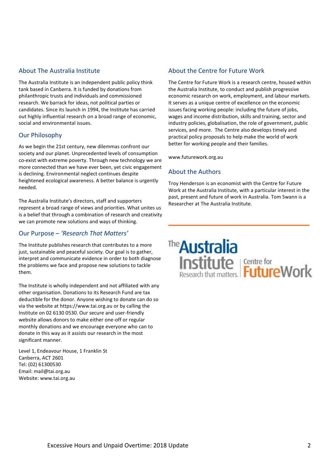#### About The Australia Institute

The Australia Institute is an independent public policy think tank based in Canberra. It is funded by donations from philanthropic trusts and individuals and commissioned research. We barrack for ideas, not political parties or candidates. Since its launch in 1994, the Institute has carried out highly influential research on a broad range of economic, social and environmental issues.

#### Our Philosophy

As we begin the 21st century, new dilemmas confront our society and our planet. Unprecedented levels of consumption co-exist with extreme poverty. Through new technology we are more connected than we have ever been, yet civic engagement is declining. Environmental neglect continues despite heightened ecological awareness. A better balance is urgently needed.

The Australia Institute's directors, staff and supporters represent a broad range of views and priorities. What unites us is a belief that through a combination of research and creativity we can promote new solutions and ways of thinking.

#### Our Purpose – *'Research That Matters'*

The Institute publishes research that contributes to a more just, sustainable and peaceful society. Our goal is to gather, interpret and communicate evidence in order to both diagnose the problems we face and propose new solutions to tackle them.

The Institute is wholly independent and not affiliated with any other organisation. Donations to its Research Fund are tax deductible for the donor. Anyone wishing to donate can do so via the website at https://www.tai.org.au or by calling the Institute on 02 6130 0530. Our secure and user-friendly website allows donors to make either one-off or regular monthly donations and we encourage everyone who can to donate in this way as it assists our research in the most significant manner.

Level 1, Endeavour House, 1 Franklin St Canberra, ACT 2601 Tel: (02) 61300530 Email: mail@tai.org.au Website: www.tai.org.au

#### About the Centre for Future Work

The Centre for Future Work is a research centre, housed within the Australia Institute, to conduct and publish progressive economic research on work, employment, and labour markets. It serves as a unique centre of excellence on the economic issues facing working people: including the future of jobs, wages and income distribution, skills and training, sector and industry policies, globalisation, the role of government, public services, and more. The Centre also develops timely and practical policy proposals to help make the world of work better for working people and their families.

www.futurework.org.au

#### About the Authors

Troy Henderson is an economist with the Centre for Future Work at the Australia Institute, with a particular interest in the past, present and future of work in Australia. Tom Swann is a Researcher at The Australia Institute.

# The **Australia**<br> **Institute**<br>
Research that matters. **Future** Work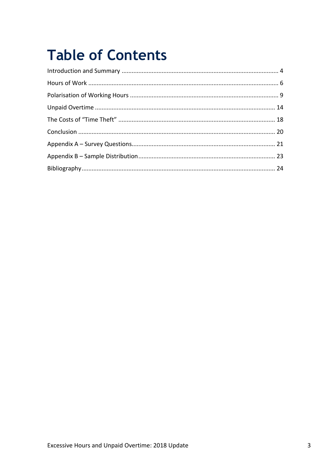### **Table of Contents**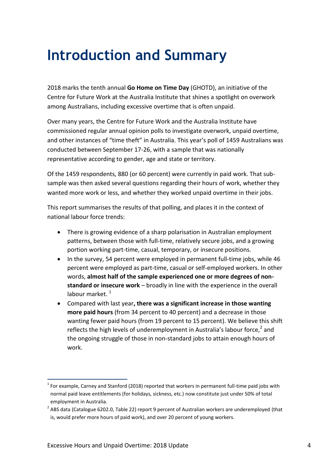### <span id="page-3-0"></span>**Introduction and Summary**

2018 marks the tenth annual **Go Home on Time Day** (GHOTD), an initiative of the Centre for Future Work at the Australia Institute that shines a spotlight on overwork among Australians, including excessive overtime that is often unpaid.

Over many years, the Centre for Future Work and the Australia Institute have commissioned regular annual opinion polls to investigate overwork, unpaid overtime, and other instances of "time theft" in Australia. This year's poll of 1459 Australians was conducted between September 17-26, with a sample that was nationally representative according to gender, age and state or territory.

Of the 1459 respondents, 880 (or 60 percent) were currently in paid work. That subsample was then asked several questions regarding their hours of work, whether they wanted more work or less, and whether they worked unpaid overtime in their jobs.

This report summarises the results of that polling, and places it in the context of national labour force trends:

- There is growing evidence of a sharp polarisation in Australian employment patterns, between those with full-time, relatively secure jobs, and a growing portion working part-time, casual, temporary, or insecure positions.
- In the survey, 54 percent were employed in permanent full-time jobs, while 46 percent were employed as part-time, casual or self-employed workers. In other words, **almost half of the sample experienced one or more degrees of nonstandard or insecure work** – broadly in line with the experience in the overall labour market.<sup>1</sup>
- Compared with last year**, there was a significant increase in those wanting more paid hours** (from 34 percent to 40 percent) and a decrease in those wanting fewer paid hours (from 19 percent to 15 percent). We believe this shift reflects the high levels of underemployment in Australia's labour force, $^2$  and the ongoing struggle of those in non-standard jobs to attain enough hours of work.

1

 $<sup>1</sup>$  For example, Carney and Stanford (2018) reported that workers in permanent full-time paid jobs with</sup> normal paid leave entitlements (for holidays, sickness, etc.) now constitute just under 50% of total employment in Australia.

 $2^{2}$  ABS data (Catalogue 6202.0, Table 22) report 9 percent of Australian workers are underemployed (that is, would prefer more hours of paid work), and over 20 percent of young workers.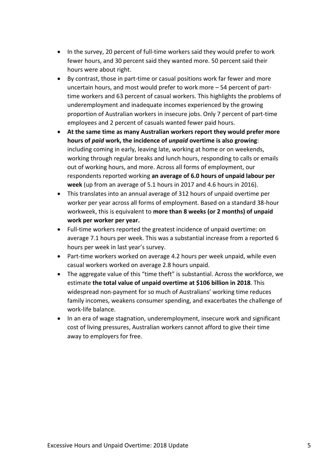- In the survey, 20 percent of full-time workers said they would prefer to work fewer hours, and 30 percent said they wanted more. 50 percent said their hours were about right.
- By contrast, those in part-time or casual positions work far fewer and more uncertain hours, and most would prefer to work more – 54 percent of parttime workers and 63 percent of casual workers. This highlights the problems of underemployment and inadequate incomes experienced by the growing proportion of Australian workers in insecure jobs. Only 7 percent of part-time employees and 2 percent of casuals wanted fewer paid hours.
- **At the same time as many Australian workers report they would prefer more hours of** *paid* **work, the incidence of** *unpaid* **overtime is also growing**: including coming in early, leaving late, working at home or on weekends, working through regular breaks and lunch hours, responding to calls or emails out of working hours, and more. Across all forms of employment, our respondents reported working **an average of 6.0 hours of unpaid labour per week** (up from an average of 5.1 hours in 2017 and 4.6 hours in 2016).
- This translates into an annual average of 312 hours of unpaid overtime per worker per year across all forms of employment. Based on a standard 38-hour workweek, this is equivalent to **more than 8 weeks (or 2 months) of unpaid work per worker per year.**
- Full-time workers reported the greatest incidence of unpaid overtime: on average 7.1 hours per week. This was a substantial increase from a reported 6 hours per week in last year's survey.
- Part-time workers worked on average 4.2 hours per week unpaid, while even casual workers worked on average 2.8 hours unpaid.
- The aggregate value of this "time theft" is substantial. Across the workforce, we estimate **the total value of unpaid overtime at \$106 billion in 2018**. This widespread non-payment for so much of Australians' working time reduces family incomes, weakens consumer spending, and exacerbates the challenge of work-life balance.
- In an era of wage stagnation, underemployment, insecure work and significant cost of living pressures, Australian workers cannot afford to give their time away to employers for free.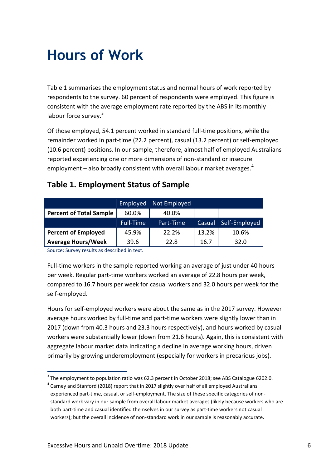### <span id="page-5-0"></span>**Hours of Work**

Table 1 summarises the employment status and normal hours of work reported by respondents to the survey. 60 percent of respondents were employed. This figure is consistent with the average employment rate reported by the ABS in its monthly labour force survey.<sup>3</sup>

Of those employed, 54.1 percent worked in standard full-time positions, while the remainder worked in part-time (22.2 percent), casual (13.2 percent) or self-employed (10.6 percent) positions. In our sample, therefore, almost half of employed Australians reported experiencing one or more dimensions of non-standard or insecure employment – also broadly consistent with overall labour market averages. $4$ 

#### **Table 1. Employment Status of Sample**

|                                | Employed         | Not Employed |        |               |
|--------------------------------|------------------|--------------|--------|---------------|
| <b>Percent of Total Sample</b> | 60.0%            | 40.0%        |        |               |
|                                | <b>Full-Time</b> | Part-Time    | Casual | Self-Employed |
| <b>Percent of Employed</b>     | 45.9%            | 22.2%        | 13.2%  | 10.6%         |
| <b>Average Hours/Week</b>      | 39.6             | 22.8         | 16.7   | 32.0          |

Source: Survey results as described in text.

1

Full-time workers in the sample reported working an average of just under 40 hours per week. Regular part-time workers worked an average of 22.8 hours per week, compared to 16.7 hours per week for casual workers and 32.0 hours per week for the self-employed.

Hours for self-employed workers were about the same as in the 2017 survey. However average hours worked by full-time and part-time workers were slightly lower than in 2017 (down from 40.3 hours and 23.3 hours respectively), and hours worked by casual workers were substantially lower (down from 21.6 hours). Again, this is consistent with aggregate labour market data indicating a decline in average working hours, driven primarily by growing underemployment (especially for workers in precarious jobs).

 $3$  The employment to population ratio was 62.3 percent in October 2018; see ABS Catalogue 6202.0.

 $^4$  Carney and Stanford (2018) report that in 2017 slightly over half of all employed Australians experienced part-time, casual, or self-employment. The size of these specific categories of nonstandard work vary in our sample from overall labour market averages (likely because workers who are both part-time and casual identified themselves in our survey as part-time workers not casual workers); but the overall incidence of non-standard work in our sample is reasonably accurate.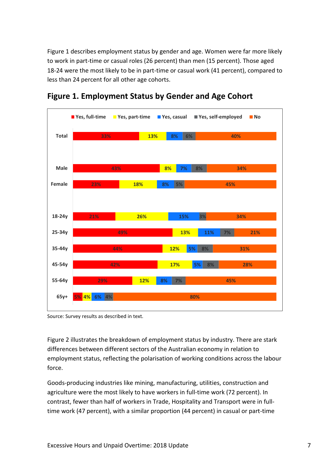Figure 1 describes employment status by gender and age. Women were far more likely to work in part-time or casual roles (26 percent) than men (15 percent). Those aged 18-24 were the most likely to be in part-time or casual work (41 percent), compared to less than 24 percent for all other age cohorts.



**Figure 1. Employment Status by Gender and Age Cohort**

Source: Survey results as described in text.

Figure 2 illustrates the breakdown of employment status by industry. There are stark differences between different sectors of the Australian economy in relation to employment status, reflecting the polarisation of working conditions across the labour force.

Goods-producing industries like mining, manufacturing, utilities, construction and agriculture were the most likely to have workers in full-time work (72 percent). In contrast, fewer than half of workers in Trade, Hospitality and Transport were in fulltime work (47 percent), with a similar proportion (44 percent) in casual or part-time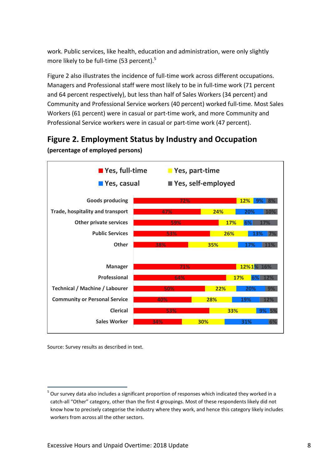work. Public services, like health, education and administration, were only slightly more likely to be full-time (53 percent).<sup>5</sup>

Figure 2 also illustrates the incidence of full-time work across different occupations. Managers and Professional staff were most likely to be in full-time work (71 percent and 64 percent respectively), but less than half of Sales Workers (34 percent) and Community and Professional Service workers (40 percent) worked full-time. Most Sales Workers (61 percent) were in casual or part-time work, and more Community and Professional Service workers were in casual or part-time work (47 percent).



**Figure 2. Employment Status by Industry and Occupation (percentage of employed persons)**

Source: Survey results as described in text.

<sup>1</sup>  $<sup>5</sup>$  Our survey data also includes a significant proportion of responses which indicated they worked in a</sup> catch-all "Other" category, other than the first 4 groupings. Most of these respondents likely did not know how to precisely categorise the industry where they work, and hence this category likely includes workers from across all the other sectors.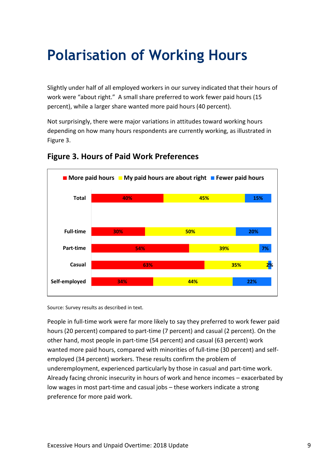### <span id="page-8-0"></span>**Polari**s**ation of Working Hours**

Slightly under half of all employed workers in our survey indicated that their hours of work were "about right." A small share preferred to work fewer paid hours (15 percent), while a larger share wanted more paid hours (40 percent).

Not surprisingly, there were major variations in attitudes toward working hours depending on how many hours respondents are currently working, as illustrated in Figure 3.



#### **Figure 3. Hours of Paid Work Preferences**

Source: Survey results as described in text.

People in full-time work were far more likely to say they preferred to work fewer paid hours (20 percent) compared to part-time (7 percent) and casual (2 percent). On the other hand, most people in part-time (54 percent) and casual (63 percent) work wanted more paid hours, compared with minorities of full-time (30 percent) and selfemployed (34 percent) workers. These results confirm the problem of underemployment, experienced particularly by those in casual and part-time work. Already facing chronic insecurity in hours of work and hence incomes – exacerbated by low wages in most part-time and casual jobs – these workers indicate a strong preference for more paid work.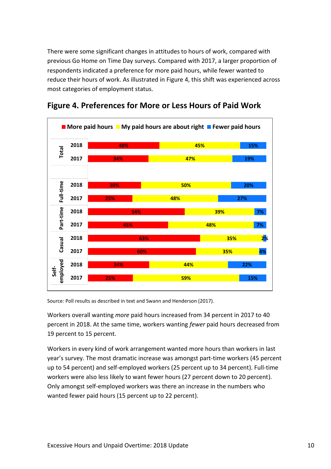There were some significant changes in attitudes to hours of work, compared with previous Go Home on Time Day surveys. Compared with 2017, a larger proportion of respondents indicated a preference for more paid hours, while fewer wanted to reduce their hours of work. As illustrated in Figure 4, this shift was experienced across most categories of employment status.



#### **Figure 4. Preferences for More or Less Hours of Paid Work**

Source: Poll results as described in text and Swann and Henderson (2017).

Workers overall wanting *more* paid hours increased from 34 percent in 2017 to 40 percent in 2018. At the same time, workers wanting *fewer* paid hours decreased from 19 percent to 15 percent.

Workers in every kind of work arrangement wanted more hours than workers in last year's survey. The most dramatic increase was amongst part-time workers (45 percent up to 54 percent) and self-employed workers (25 percent up to 34 percent). Full-time workers were also less likely to want fewer hours (27 percent down to 20 percent). Only amongst self-employed workers was there an increase in the numbers who wanted fewer paid hours (15 percent up to 22 percent).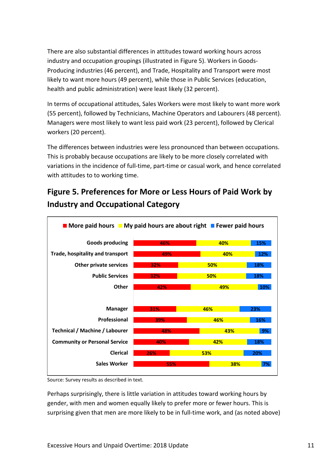There are also substantial differences in attitudes toward working hours across industry and occupation groupings (illustrated in Figure 5). Workers in Goods-Producing industries (46 percent), and Trade, Hospitality and Transport were most likely to want more hours (49 percent), while those in Public Services (education, health and public administration) were least likely (32 percent).

In terms of occupational attitudes, Sales Workers were most likely to want more work (55 percent), followed by Technicians, Machine Operators and Labourers (48 percent). Managers were most likely to want less paid work (23 percent), followed by Clerical workers (20 percent).

The differences between industries were less pronounced than between occupations. This is probably because occupations are likely to be more closely correlated with variations in the incidence of full-time, part-time or casual work, and hence correlated with attitudes to to working time.

#### **Figure 5. Preferences for More or Less Hours of Paid Work by Industry and Occupational Category**



Source: Survey results as described in text.

Perhaps surprisingly, there is little variation in attitudes toward working hours by gender, with men and women equally likely to prefer more or fewer hours. This is surprising given that men are more likely to be in full-time work, and (as noted above)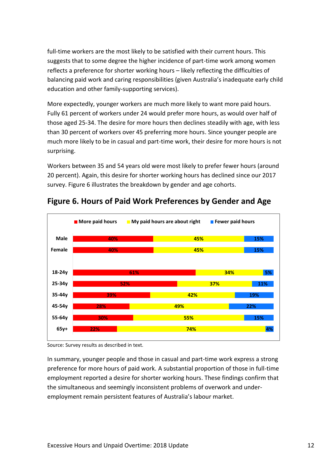full-time workers are the most likely to be satisfied with their current hours. This suggests that to some degree the higher incidence of part-time work among women reflects a preference for shorter working hours – likely reflecting the difficulties of balancing paid work and caring responsibilities (given Australia's inadequate early child education and other family-supporting services).

More expectedly, younger workers are much more likely to want more paid hours. Fully 61 percent of workers under 24 would prefer more hours, as would over half of those aged 25-34. The desire for more hours then declines steadily with age, with less than 30 percent of workers over 45 preferring more hours. Since younger people are much more likely to be in casual and part-time work, their desire for more hours is not surprising.

Workers between 35 and 54 years old were most likely to prefer fewer hours (around 20 percent). Again, this desire for shorter working hours has declined since our 2017 survey. Figure 6 illustrates the breakdown by gender and age cohorts.



#### **Figure 6. Hours of Paid Work Preferences by Gender and Age**

Source: Survey results as described in text.

In summary, younger people and those in casual and part-time work express a strong preference for more hours of paid work. A substantial proportion of those in full-time employment reported a desire for shorter working hours. These findings confirm that the simultaneous and seemingly inconsistent problems of overwork and underemployment remain persistent features of Australia's labour market.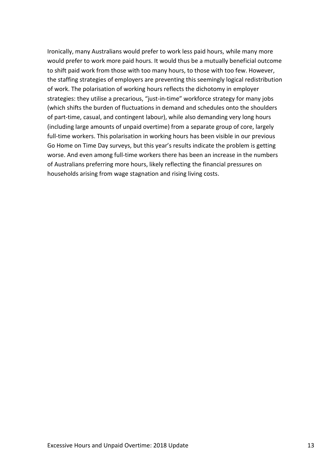Ironically, many Australians would prefer to work less paid hours, while many more would prefer to work more paid hours. It would thus be a mutually beneficial outcome to shift paid work from those with too many hours, to those with too few. However, the staffing strategies of employers are preventing this seemingly logical redistribution of work. The polarisation of working hours reflects the dichotomy in employer strategies: they utilise a precarious, "just-in-time" workforce strategy for many jobs (which shifts the burden of fluctuations in demand and schedules onto the shoulders of part-time, casual, and contingent labour), while also demanding very long hours (including large amounts of unpaid overtime) from a separate group of core, largely full-time workers. This polarisation in working hours has been visible in our previous Go Home on Time Day surveys, but this year's results indicate the problem is getting worse. And even among full-time workers there has been an increase in the numbers of Australians preferring more hours, likely reflecting the financial pressures on households arising from wage stagnation and rising living costs.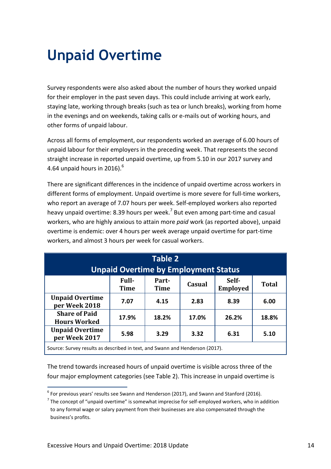### <span id="page-13-0"></span>**Unpaid Overtime**

Survey respondents were also asked about the number of hours they worked unpaid for their employer in the past seven days. This could include arriving at work early, staying late, working through breaks (such as tea or lunch breaks), working from home in the evenings and on weekends, taking calls or e-mails out of working hours, and other forms of unpaid labour.

Across all forms of employment, our respondents worked an average of 6.00 hours of unpaid labour for their employers in the preceding week. That represents the second straight increase in reported unpaid overtime, up from 5.10 in our 2017 survey and 4.64 unpaid hours in 2016).<sup>6</sup>

There are significant differences in the incidence of unpaid overtime across workers in different forms of employment. Unpaid overtime is more severe for full-time workers, who report an average of 7.07 hours per week. Self-employed workers also reported heavy unpaid overtime: 8.39 hours per week.<sup>7</sup> But even among part-time and casual workers, who are highly anxious to attain more *paid* work (as reported above), unpaid overtime is endemic: over 4 hours per week average unpaid overtime for part-time workers, and almost 3 hours per week for casual workers.

| <b>Table 2</b><br><b>Unpaid Overtime by Employment Status</b>                |                             |                      |        |                          |              |
|------------------------------------------------------------------------------|-----------------------------|----------------------|--------|--------------------------|--------------|
|                                                                              | <b>Full-</b><br><b>Time</b> | Part-<br><b>Time</b> | Casual | Self-<br><b>Employed</b> | <b>Total</b> |
| <b>Unpaid Overtime</b><br>per Week 2018                                      | 7.07                        | 4.15                 | 2.83   | 8.39                     | 6.00         |
| <b>Share of Paid</b><br><b>Hours Worked</b>                                  | 17.9%                       | 18.2%                | 17.0%  | 26.2%                    | 18.8%        |
| <b>Unpaid Overtime</b><br>per Week 2017                                      | 5.98                        | 3.29                 | 3.32   | 6.31                     | 5.10         |
| Source: Survey results as described in text, and Swann and Henderson (2017). |                             |                      |        |                          |              |

The trend towards increased hours of unpaid overtime is visible across three of the four major employment categories (see Table 2). This increase in unpaid overtime is

<sup>1</sup>  $<sup>6</sup>$  For previous years' results see Swann and Henderson (2017), and Swann and Stanford (2016).</sup>

 $<sup>7</sup>$  The concept of "unpaid overtime" is somewhat imprecise for self-employed workers, who in addition</sup> to any formal wage or salary payment from their businesses are also compensated through the business's profits.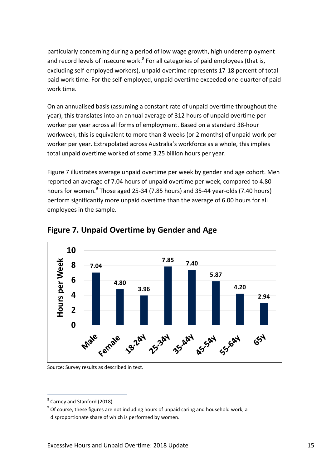particularly concerning during a period of low wage growth, high underemployment and record levels of insecure work.<sup>8</sup> For all categories of paid employees (that is, excluding self-employed workers), unpaid overtime represents 17-18 percent of total paid work time. For the self-employed, unpaid overtime exceeded one-quarter of paid work time.

On an annualised basis (assuming a constant rate of unpaid overtime throughout the year), this translates into an annual average of 312 hours of unpaid overtime per worker per year across all forms of employment. Based on a standard 38-hour workweek, this is equivalent to more than 8 weeks (or 2 months) of unpaid work per worker per year. Extrapolated across Australia's workforce as a whole, this implies total unpaid overtime worked of some 3.25 billion hours per year.

Figure 7 illustrates average unpaid overtime per week by gender and age cohort. Men reported an average of 7.04 hours of unpaid overtime per week, compared to 4.80 hours for women.<sup>9</sup> Those aged 25-34 (7.85 hours) and 35-44 year-olds (7.40 hours) perform significantly more unpaid overtime than the average of 6.00 hours for all employees in the sample.



#### **Figure 7. Unpaid Overtime by Gender and Age**

Source: Survey results as described in text.

<sup>1</sup> <sup>8</sup> Carney and Stanford (2018).

 $^{9}$  Of course, these figures are not including hours of unpaid caring and household work, a disproportionate share of which is performed by women.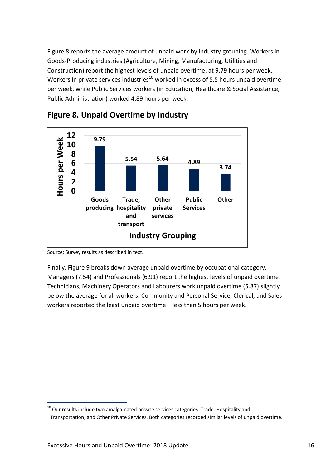Figure 8 reports the average amount of unpaid work by industry grouping. Workers in Goods-Producing industries (Agriculture, Mining, Manufacturing, Utilities and Construction) report the highest levels of unpaid overtime, at 9.79 hours per week. Workers in private services industries<sup>10</sup> worked in excess of 5.5 hours unpaid overtime per week, while Public Services workers (in Education, Healthcare & Social Assistance, Public Administration) worked 4.89 hours per week.



#### **Figure 8. Unpaid Overtime by Industry**

Source: Survey results as described in text.

1

Finally, Figure 9 breaks down average unpaid overtime by occupational category. Managers (7.54) and Professionals (6.91) report the highest levels of unpaid overtime. Technicians, Machinery Operators and Labourers work unpaid overtime (5.87) slightly below the average for all workers. Community and Personal Service, Clerical, and Sales workers reported the least unpaid overtime – less than 5 hours per week.

 $10$  Our results include two amalgamated private services categories: Trade, Hospitality and

Transportation; and Other Private Services. Both categories recorded similar levels of unpaid overtime.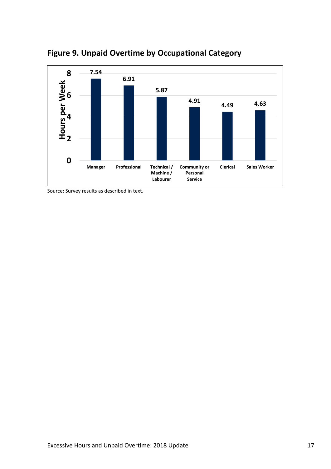

**Figure 9. Unpaid Overtime by Occupational Category**

Source: Survey results as described in text.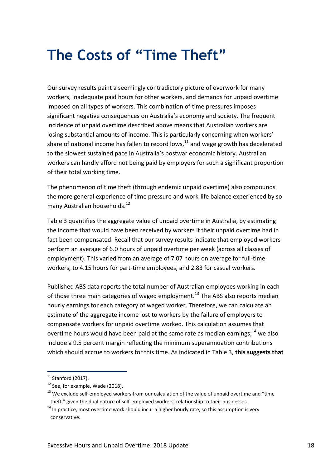### <span id="page-17-0"></span>**The Costs of "Time Theft"**

Our survey results paint a seemingly contradictory picture of overwork for many workers, inadequate paid hours for other workers, and demands for unpaid overtime imposed on all types of workers. This combination of time pressures imposes significant negative consequences on Australia's economy and society. The frequent incidence of unpaid overtime described above means that Australian workers are losing substantial amounts of income. This is particularly concerning when workers' share of national income has fallen to record lows, $11$  and wage growth has decelerated to the slowest sustained pace in Australia's postwar economic history. Australian workers can hardly afford not being paid by employers for such a significant proportion of their total working time.

The phenomenon of time theft (through endemic unpaid overtime) also compounds the more general experience of time pressure and work-life balance experienced by so many Australian households. 12

Table 3 quantifies the aggregate value of unpaid overtime in Australia, by estimating the income that would have been received by workers if their unpaid overtime had in fact been compensated. Recall that our survey results indicate that employed workers perform an average of 6.0 hours of unpaid overtime per week (across all classes of employment). This varied from an average of 7.07 hours on average for full-time workers, to 4.15 hours for part-time employees, and 2.83 for casual workers.

Published ABS data reports the total number of Australian employees working in each of those three main categories of waged employment.<sup>13</sup> The ABS also reports median hourly earnings for each category of waged worker. Therefore, we can calculate an estimate of the aggregate income lost to workers by the failure of employers to compensate workers for unpaid overtime worked. This calculation assumes that overtime hours would have been paid at the same rate as median earnings;<sup>14</sup> we also include a 9.5 percent margin reflecting the minimum superannuation contributions which should accrue to workers for this time. As indicated in Table 3, **this suggests that** 

1

 $11$  Stanford (2017).

 $12$  See, for example, Wade (2018).

 $13$  We exclude self-emploved workers from our calculation of the value of unpaid overtime and "time" theft," given the dual nature of self-employed workers' relationship to their businesses.

 $14$  In practice, most overtime work should incur a higher hourly rate, so this assumption is very conservative.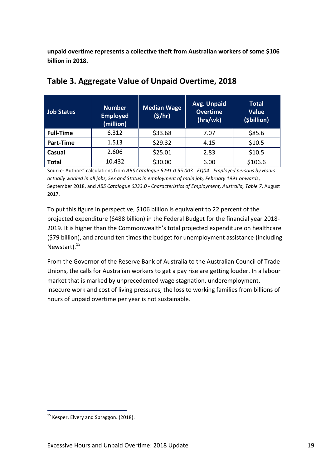**unpaid overtime represents a collective theft from Australian workers of some \$106 billion in 2018.**

| <b>Job Status</b> | <b>Number</b><br><b>Employed</b><br>(million) | <b>Median Wage</b><br>(5/hr) | Avg. Unpaid<br><b>Overtime</b><br>(hrs/wk) | <b>Total</b><br><b>Value</b><br>(\$billion) |
|-------------------|-----------------------------------------------|------------------------------|--------------------------------------------|---------------------------------------------|
| <b>Full-Time</b>  | 6.312                                         | \$33.68                      | 7.07                                       | \$85.6                                      |
| Part-Time         | 1.513                                         | \$29.32                      | 4.15                                       | \$10.5                                      |
| Casual            | 2.606                                         | \$25.01                      | 2.83                                       | \$10.5                                      |
| <b>Total</b>      | 10.432                                        | \$30.00                      | 6.00                                       | \$106.6                                     |

#### **Table 3. Aggregate Value of Unpaid Overtime, 2018**

Source: Authors' calculations from *ABS Catalogue 6291.0.55.003 - EQ04 - Employed persons by Hours actually worked in all jobs, Sex and Status in employment of main job, February 1991 onwards*, September 2018, and *ABS Catalogue 6333.0 - Characteristics of Employment, Australia, Table 7*, August 2017.

To put this figure in perspective, \$106 billion is equivalent to 22 percent of the projected expenditure (\$488 billion) in the Federal Budget for the financial year 2018- 2019. It is higher than the Commonwealth's total projected expenditure on healthcare (\$79 billion), and around ten times the budget for unemployment assistance (including Newstart).<sup>15</sup>

From the Governor of the Reserve Bank of Australia to the Australian Council of Trade Unions, the calls for Australian workers to get a pay rise are getting louder. In a labour market that is marked by unprecedented wage stagnation, underemployment, insecure work and cost of living pressures, the loss to working families from billions of hours of unpaid overtime per year is not sustainable.

1

<sup>&</sup>lt;sup>15</sup> Kesper, Elvery and Spraggon. (2018).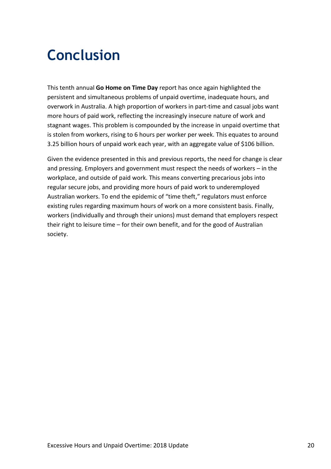### <span id="page-19-0"></span>**Conclusion**

This tenth annual **Go Home on Time Day** report has once again highlighted the persistent and simultaneous problems of unpaid overtime, inadequate hours, and overwork in Australia. A high proportion of workers in part-time and casual jobs want more hours of paid work, reflecting the increasingly insecure nature of work and stagnant wages. This problem is compounded by the increase in unpaid overtime that is stolen from workers, rising to 6 hours per worker per week. This equates to around 3.25 billion hours of unpaid work each year, with an aggregate value of \$106 billion.

Given the evidence presented in this and previous reports, the need for change is clear and pressing. Employers and government must respect the needs of workers – in the workplace, and outside of paid work. This means converting precarious jobs into regular secure jobs, and providing more hours of paid work to underemployed Australian workers. To end the epidemic of "time theft," regulators must enforce existing rules regarding maximum hours of work on a more consistent basis. Finally, workers (individually and through their unions) must demand that employers respect their right to leisure time – for their own benefit, and for the good of Australian society.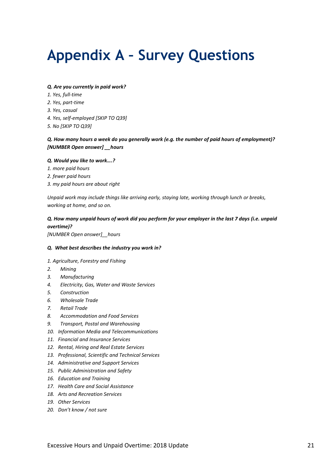### <span id="page-20-0"></span>**Appendix A – Survey Questions**

#### *Q. Are you currently in paid work?*

- *1. Yes, full-time*
- *2. Yes, part-time*
- *3. Yes, casual*
- *4. Yes, self-employed [SKIP TO Q39]*
- *5. No [SKIP TO Q39]*

#### *Q. How many hours a week do you generally work (e.g. the number of paid hours of employment)? [NUMBER Open answer] \_\_hours*

#### *Q. Would you like to work….?*

- *1. more paid hours*
- *2. fewer paid hours*
- *3. my paid hours are about right*

*Unpaid work may include things like arriving early, staying late, working through lunch or breaks, working at home, and so on.*

#### *Q. How many unpaid hours of work did you perform for your employer in the last 7 days (i.e. unpaid overtime)?*

*[NUMBER Open answer]\_\_hours*

#### *Q. What best describes the industry you work in?*

#### *1. Agriculture, Forestry and Fishing*

- *2. Mining*
- *3. Manufacturing*
- *4. Electricity, Gas, Water and Waste Services*
- *5. Construction*
- *6. Wholesale Trade*
- *7. Retail Trade*
- *8. Accommodation and Food Services*
- *9. Transport, Postal and Warehousing*
- *10. Information Media and Telecommunications*
- *11. Financial and Insurance Services*
- *12. Rental, Hiring and Real Estate Services*
- *13. Professional, Scientific and Technical Services*
- *14. Administrative and Support Services*
- *15. Public Administration and Safety*
- *16. Education and Training*
- *17. Health Care and Social Assistance*
- *18. Arts and Recreation Services*
- *19. Other Services*
- *20. Don't know / not sure*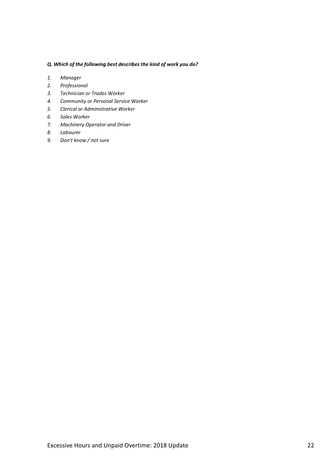#### *Q. Which of the following best describes the kind of work you do?*

- *1. Manager*
- *2. Professional*
- *3. Technician or Trades Worker*
- *4. Community or Personal Service Worker*
- *5. Clerical or Administrative Worker*
- *6. Sales Worker*
- *7. Machinery Operator and Driver*
- *8. Labourer*
- *9. Don't know / not sure*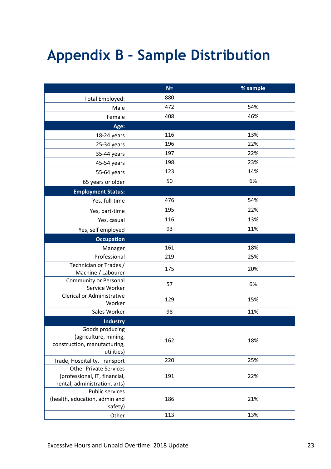### <span id="page-22-0"></span>**Appendix B – Sample Distribution**

|                                                | $N =$ | % sample |
|------------------------------------------------|-------|----------|
| Total Employed:                                | 880   |          |
| Male                                           | 472   | 54%      |
| Female                                         | 408   | 46%      |
| Age:                                           |       |          |
| 18-24 years                                    | 116   | 13%      |
| 25-34 years                                    | 196   | 22%      |
| 35-44 years                                    | 197   | 22%      |
| 45-54 years                                    | 198   | 23%      |
| 55-64 years                                    | 123   | 14%      |
| 65 years or older                              | 50    | 6%       |
| <b>Employment Status:</b>                      |       |          |
| Yes, full-time                                 | 476   | 54%      |
| Yes, part-time                                 | 195   | 22%      |
| Yes, casual                                    | 116   | 13%      |
| Yes, self employed                             | 93    | 11%      |
| <b>Occupation</b>                              |       |          |
| Manager                                        | 161   | 18%      |
| Professional                                   | 219   | 25%      |
| Technician or Trades /                         | 175   | 20%      |
| Machine / Labourer                             |       |          |
| <b>Community or Personal</b><br>Service Worker | 57    | 6%       |
| <b>Clerical or Administrative</b>              |       |          |
| Worker                                         | 129   | 15%      |
| Sales Worker                                   | 98    | 11%      |
| <b>Industry</b>                                |       |          |
| Goods producing                                |       |          |
| (agriculture, mining,                          | 162   | 18%      |
| construction, manufacturing,<br>utilities)     |       |          |
| Trade, Hospitality, Transport                  | 220   | 25%      |
| <b>Other Private Services</b>                  |       |          |
| (professional, IT, financial,                  | 191   | 22%      |
| rental, administration, arts)                  |       |          |
| <b>Public services</b>                         |       |          |
| (health, education, admin and<br>safety)       | 186   | 21%      |
| Other                                          | 113   | 13%      |